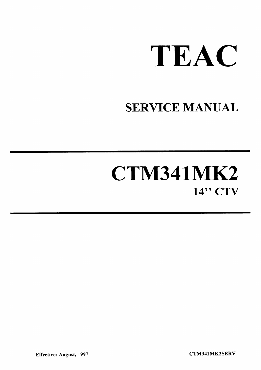

# **SERVICE MANUAL**

# CTM341MK2 14" CTV

CTM341MK2SERV

**Effective: August, 1997**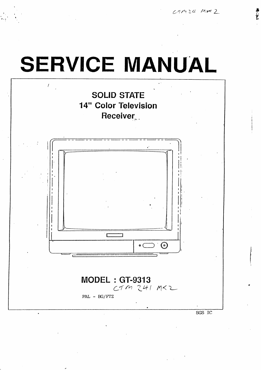$CMM34MK2$ 

# **SERVICE MANUAL SOLID STATE 14" Color Television** Receiver.  $\Gamma$ ٦ ⊙)  $\bullet$  (

**MODEL: GT-9313**  $CTM241MX2$ 

PAL - BG/FTZ

 $SGS$  IC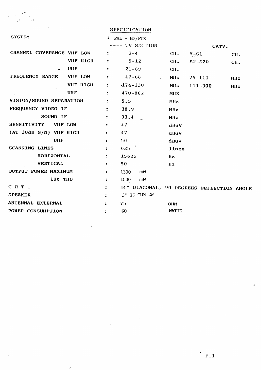|                                    |                      | <b>SPECIFICATION</b>                      |                 |             |             |
|------------------------------------|----------------------|-------------------------------------------|-----------------|-------------|-------------|
| <b>SYSTEM</b>                      |                      | $PAL - BG/FTZ$                            |                 |             |             |
|                                    |                      | ---- TV SECTION ----                      |                 | CATV.       |             |
| CHANNEL COVERANGE VHF LOW          | $\ddot{\cdot}$       | $2 - 4$                                   | CII.            | $Y - S1$    | CH.         |
| VHF HIGH                           | $\ddot{\phantom{a}}$ | $5 - 12$                                  | CH <sub>2</sub> | $S2-S20$    | CII.        |
| <b>UHF</b>                         | $\ddot{\phantom{a}}$ | $21 - 69$                                 | CII.            |             |             |
| FREQUENCY RANGE<br><b>AIIL LOM</b> | $\ddot{\phantom{a}}$ | $47 - 68$                                 | <b>MHz</b>      | $75 - 111$  | <b>MIIz</b> |
| VHF HIGH                           | $\ddot{\bullet}$     | $-174 - 230$                              | MIIz            | $111 - 300$ | MIIz        |
| <b>UHF</b>                         | $\ddot{ }$           | $470 - 862$                               | MIIZ            |             |             |
| VISION/SOUND SEPARATION            | $\ddot{\cdot}$       | 5.5                                       | Milz            |             |             |
| FREQUENCY VIDEO IF                 | $\ddot{\phantom{a}}$ | 38.9                                      | Milz            |             |             |
| SOUND IF                           | $\ddot{\cdot}$       | 33.4                                      | MHz             |             |             |
| <b>SENSITIVITY</b><br>VIIF LOW     | $\ddot{\phantom{a}}$ | 47                                        | dBuV            |             |             |
| (AT 30dB S/N) VHF HIGH             | $\ddot{\phantom{a}}$ | 47                                        | dBuV            |             |             |
| <b>UHF</b>                         | $\ddot{ }$           | 50                                        | dBuV            |             |             |
| SCANNING LINES                     | $\ddot{\phantom{a}}$ | 625                                       | lines           |             |             |
| HORIZONTAL                         | $\ddot{\cdot}$       | 15625                                     | <b>Hz</b>       |             |             |
| VERTICAL                           | $\ddot{\cdot}$       | 50                                        | <b>Hz</b>       |             |             |
| OUTPUT POWER MAXIMUM               | $\ddot{\cdot}$       | 1300<br>шW                                |                 |             |             |
| 10% THD                            | $\ddot{\phantom{a}}$ | 1000<br>πм                                |                 |             |             |
| CRT.                               | $\ddot{\phantom{a}}$ | 14" DIAGONAL, 90 DEGREES DEFLECTION ANGLE |                 |             |             |
| <b>SPEAKER</b>                     | $\ddot{\bullet}$     | 3" 16 OHM 2W                              |                 |             |             |
| ANTENNAL EXTERNAL                  | $\ddot{\cdot}$       | 75                                        | <b>OHM</b>      |             |             |
| POWER CONSUMPTION                  | $\ddot{z}$           | 60                                        | <b>WATTS</b>    |             |             |

 $\mathcal{L}^{\text{max}}_{\text{max}}$ 

 $\mathcal{L}^{\text{max}}_{\text{max}}$ 

 $\sim 10^{11}$  km  $^{-1}$ 

 $\frac{1}{2}$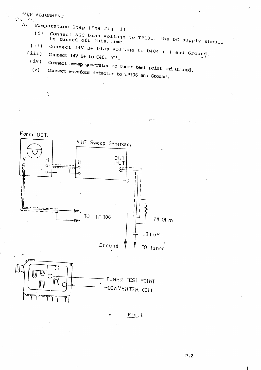#### **ALIGNMENT**

 $\sum_{i=1}^{n}$ 

Α.

Preparation Step (See Fig. 1)

Connect AGC bias voltage to TP101, the DC supply should  $(i)$ 

44. I

- Connect 14V B+ bias voltage to D404 (-) and Ground.  $(i)$
- $(iii)$ Connect 14V B+ to  $Q401$  'C'.  $(iv)$ 
	- Connect sweep generator to tuner test point and Ground.  $(v)$

Connect waveform detector to TP106 and Ground.





T۱

TUNER TEST POINT CONVERTER COIL

 $Fig.1$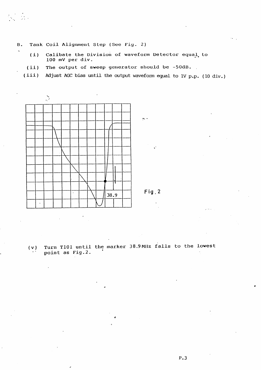**B.** Tank Coil Alignment Step (See Fig. 2)

- $(i)$ Calibate the Division of waveform Detector equal to 100 mV per div.
- The output of sweep generator should be -50dB.  $(ii)$
- Adjust AGC bias until the output waveform equal to 1V p.p. (10 div.)  $(iii)$



 $Fig. 2$ 

Turn T101 until the marker 38.9 MHz falls to the lowest  $(v)$ point as Fig.2.

 $P.3$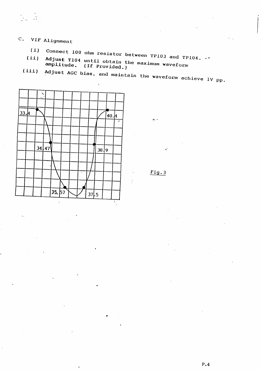# C. VIF Alignment

 $\mathcal{L} = \mathcal{L}$ 

- (i) Connect 100 ohm resistor between TP103 and TP104.  $\cdots$
- $(ii)$ Adjust T104 until obtain the maximum waveform amplitude. (If Provided.)
- Adjust AGC bias, and maintain the waveform achieve 1V pp.  $(iii)$



 $Fig.3$ 

لداعج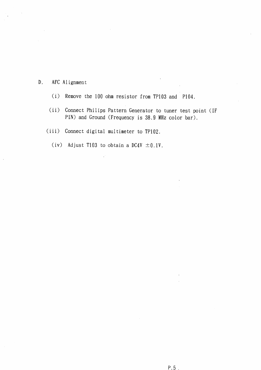- AFC Alignment  $D.$ 
	- Remove the 100 ohm resistor from TP103 and P104.  $(i)$
	- $(ii)$ Connect Philips Pattern Generator to tuner test point (IF PIN) and Ground (Frequency is 38.9 MHz color bar).
	- (iii) Connect digital multimeter to TP102.
		- (iv) Adjust T103 to obtain a DC4V  $\pm$ 0.1V.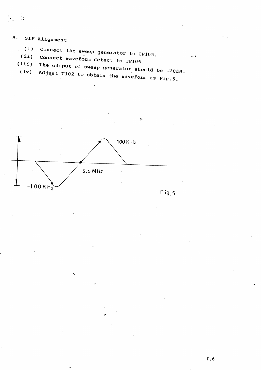- SIF Alignment  $B<sub>z</sub>$ 
	- Connect the sweep generator to TP105.  $(i)$
	- (ii) Connect waveform detect to TP106.  $(iii)$ 
		- The output of sweep generator should be  $-20dB$ .  $(iv)$

Adjust T102 to obtain the waveform as Fig.5.



 $Fig. 5$ 

د ده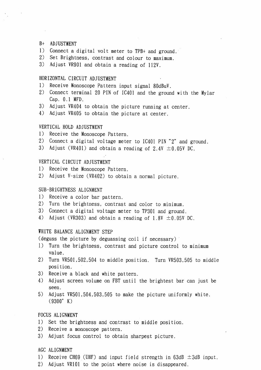#### B+ ADJUSTMENT

- 1) Connect a digital volt meter to TPB+ and ground.
- 2) Set Brightness, contrast and colour to maximum.

3) Adjust VR901 and obtain a reading of 112V.

#### HORIZONTAL CIRCUIT ADJUSTMENT

- 1) Receive Monoscope Pattern input signal 80dBuV.
- 2) Connect terminal 20 PIN of IC401 and the ground with the Mylar Cap. 0.1 MFD.
- 3) Adjust VR404 to obtain the picture running at center.
- 4) Adjust VR405 to obtain the picture at center.

#### VERTICAL HOLD ADJUSTMENT

- 1) Receive the Monoscope Pattern.
- 2) Connect a digital voltage meter to IC401 PIN "2" and ground.
- 3) Adjust (VR401) and obtain a reading of 2.4V  $\pm 0.05$ V DC.

#### VERTICAL CIRCUIT ADJUSTMENT

- 1) Receive the Monoscope Pattern.
- 2) Adjust V-size (VR402) to obtain a normal picture.

#### SUB-BRIGHTNESS ALIGNMENT

- 1) Receive a color bar pattern.
- 2) Turn the brightness, contrast and color to minimum.
- 3) Connect a digital voltage meter to TP301 and ground.
- 4) Adjust (VR303) and obtain a reading of 1.8V  $\pm$ 0.05V DC.

#### WHITE BALANCE ALIGNMENT STEP

(deguss the picture by deguassing coil if necessary)

- 1) Turn the brightness, contrast and picture control to minimum value.
- 2) Turn VR501,502,504 to middle position. Turn VR503,505 to middle position.
- 3) Receive a black and white pattern.
- 4) Adjust screen volume on FBT until the brightest bar can just be seen.
- 5) Adjust VR501,504,503,505 to make the picture uniformly white.  $(9300^{\circ} K)$

#### FOCUS ALIGNMENT

- 1) Set the brightness and contrast to middle position.
- 2) Receive a monoscope pattern.
- 3) Adjust focus control to obtain sharpest picture.

#### AGC ALIGNMENT

- 1) Receive CH69 (UHF) and input field strength in  $63dB \pm 3dB$  input.
- 2) Adjust VR101 to the point where noise is disappeared.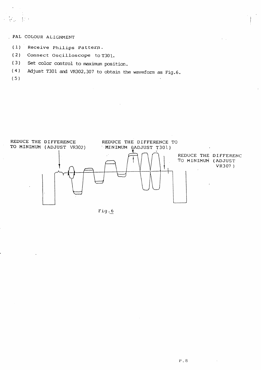#### . PAL COLOUR ALIGNMENT

- $(1)$ Receive Philips Pattern.
- $(2)$ Connect Oscilloscope to T301.
- $(3)$ Set color control to maximum position.
- Adjust T301 and VR302,307 to obtain the waveform as Fig.6.  $(4)$

 $(.5)$ 



Fig.6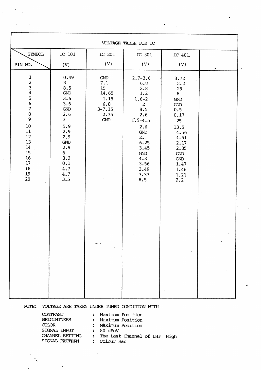|                                                                                                                     |                                                                                                                                                                                  |                                                                                            | VOLTAGE TABLE FOR IC                                                                                                                                                                        |                                                                                                                                                                |   |
|---------------------------------------------------------------------------------------------------------------------|----------------------------------------------------------------------------------------------------------------------------------------------------------------------------------|--------------------------------------------------------------------------------------------|---------------------------------------------------------------------------------------------------------------------------------------------------------------------------------------------|----------------------------------------------------------------------------------------------------------------------------------------------------------------|---|
| <b>SYMBOL</b><br>PIN NO.                                                                                            | IC 101<br>(V)                                                                                                                                                                    | IC 201<br>(V)                                                                              | IC 301<br>(V)                                                                                                                                                                               | IC 401<br>(V)                                                                                                                                                  |   |
| 123456789<br>$10\,$<br>$11\,$<br>$12\,$<br>13<br>${\bf 14}$<br>$15\,$<br>$16\,$<br>$17\,$<br>${\bf 18}$<br>19<br>20 | 0.49<br>3 <sup>1</sup><br>8.5<br>${\rm GND}$<br>3.6<br>3.6<br>GND<br>2.6<br>3 <sup>1</sup><br>5.9<br>2.9<br>2.9<br><b>GND</b><br>2.9<br>$6 -$<br>3.2<br>0.1<br>4.7<br>4.7<br>3.5 | ${\rm GND}$<br>7.1<br>15 <sub>1</sub><br>14.65<br>1.15<br>6.8<br>$3 - 7.15$<br>2.75<br>GND | $2.7 - 3.6$<br>6.8<br>2.8<br>1.2<br>$1.6 - 2$<br>2 <sup>1</sup><br>8.5<br>2.6<br>$1:5-4.5$<br>2.6<br>${\rm GND}$<br>2.1<br>6.25<br>3.45<br><b>GND</b><br>4.3<br>3.56<br>3.49<br>3.37<br>8.5 | 8.72<br>2.2<br>25<br>8<br>${\rm GND}$<br>${\rm GND}$<br>0.5<br>0.17<br>25<br>13.5<br>4.56<br>4.51<br>2.17<br>2.35<br>GND<br>GND<br>1.47<br>1.46<br>1.21<br>2.2 | ◢ |
|                                                                                                                     |                                                                                                                                                                                  |                                                                                            |                                                                                                                                                                                             |                                                                                                                                                                |   |

NOTE: VOLTAGE ARE TAKEN UNDER TUNED CONDITION WITH

CONTRAST **BRIGTHTNESS**  $COLOR$ SIGNAL PATTERN

 $\overline{a}$ 

: Maximum Position : Maximum Position : Maximum Position SIGNAL INPUT : 80 dBuV<br>CHANNEL SETTING : The Last Channel of UHF High : Colour Bar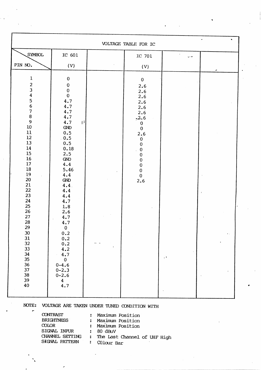|                                                                                                                                                                                                                                                                                                                                              |                                                                                                                                                                                                                                                                                                                                                                              | VOLTAGE TABLE FOR IC                                                                                                                                                                                                    |                         |             |
|----------------------------------------------------------------------------------------------------------------------------------------------------------------------------------------------------------------------------------------------------------------------------------------------------------------------------------------------|------------------------------------------------------------------------------------------------------------------------------------------------------------------------------------------------------------------------------------------------------------------------------------------------------------------------------------------------------------------------------|-------------------------------------------------------------------------------------------------------------------------------------------------------------------------------------------------------------------------|-------------------------|-------------|
| SYMBOL                                                                                                                                                                                                                                                                                                                                       | IC 601                                                                                                                                                                                                                                                                                                                                                                       | IC 701                                                                                                                                                                                                                  | پ دي.                   |             |
| PIN NO.                                                                                                                                                                                                                                                                                                                                      | (V)                                                                                                                                                                                                                                                                                                                                                                          | (V)                                                                                                                                                                                                                     |                         |             |
| $\mathbf 1$<br>$\frac{2}{3}$<br>$\boldsymbol{4}$<br>$\frac{5}{6}$<br>$\begin{array}{c} 7 \\ 8 \end{array}$<br>$\mathbf{9}$<br>$10\,$<br>11<br>12<br>13<br>14<br>15<br>16<br>17<br>18<br>19<br>20<br>21<br>22<br>23<br>24<br>25<br>26<br>27<br>28<br>29<br>30 <sub>o</sub><br>$\frac{31}{32}$<br>33<br>34<br>35<br>36<br>37<br>38<br>39<br>40 | $\pmb{0}$<br>${\bf 0}$<br>$\pmb{0}$<br>$\bf{0}$<br>4.7<br>4.7<br>4.7<br>4.7<br>4.7<br> J <br>$\mbox{GND}$<br>0.5<br>0.5<br>0.5<br>0.18<br>2.5<br>GND<br>4.4<br>5.46<br>4.4<br>GND<br>4.4<br>4.4<br>4.4<br>4.7<br>1.8<br>2.6<br>4.7<br>4.7<br>${\bf 0}$<br>0.2<br>$0.2$<br>$0.2$<br>4.2<br>4.7<br>$\pmb{0}$<br>$0 - 4.6$<br>$0 - 2.3$<br>$0 - 2.6$<br>$\boldsymbol{4}$<br>4.7 | $\mathbf 0$<br>2.6<br>2.6<br>2.6<br>2.6<br>2.6<br>2.6<br>$-2.6$<br>$\mathbf{0}$<br>$\mathbf{0}$<br>2.6<br>$\pmb{0}$<br>$\pmb{0}$<br>${\bf 0}$<br>$\pmb{0}$<br>$\pmb{0}$<br>$\bf{0}$<br>$\pmb{0}$<br>$\mathbf{0}$<br>2.6 | $\mathcal{G}^{\dagger}$ | $\bullet$ . |

 $\hat{\phantom{a}}$ 

NOTE: VOLTAGE ARE TAKEN UNDER TUNED CONDITION WITH

**CONTRAST** : Maximum Position **BRIGHTNESS** : Maximum Position  $\infty$ LOR : Maximum Position SIGNAL INPUR : 80 dBuV : The Last Channel of UHF High CHANNEL SETTING SIGNAL PATTERN : COlour Bar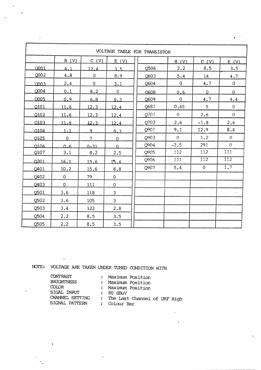|             |                |                | VOLTAGE TABLE FOR TRANSISTOR |      |              |                |                  |
|-------------|----------------|----------------|------------------------------|------|--------------|----------------|------------------|
|             | B (V)          | C (V)          | E(V)                         |      | B (V)        | C(V)           | E(V)             |
| 0001        | 4.1            | 12.4           | 3.5                          | Q506 | 2.2          | 8.5            | 3.5              |
| $Q$ 002     | 4.8            | 0              | 8.9                          | Q603 | 5.4          | 14             | 4.7              |
| 0003        | 2.4            | $\overline{0}$ | 3.1                          | Q604 | $\mathbf 0$  | 4.7            | $\overline{0}$   |
| Q004        | 0.1            | 8.2            | $\mathbf{O}$                 | O608 | 0.6          | $\overline{0}$ | $\Omega$         |
| <b>COO5</b> | 0.9            | 6.8            | 0.3                          | Q609 | $\mathbf 0$  | 4.7            | 4.4              |
| Q101        | 11.6           | 12.3           | 12.4                         | Q681 | 0.65         | 5 <sup>1</sup> | $\mathbf{O}$     |
| Q102        | 11.6           | 12.3           | 12.4                         | Q701 | $\Omega$     | 2.6            | $\Omega$         |
| 0103        | 11.6           | 12.3           | 12.4                         | Q702 | 2.6          | $-1.8$         | 2.6              |
| 0104        | 1.1            | $\overline{9}$ | 0.3                          | Q901 | 9.1          | 12.9           | 8.4              |
| 0105        | $\mathbf 0$    | 7 <sup>1</sup> | $\overline{0}$               | 0903 | $\mathbf{0}$ | 1.2            | $\mathcal{O}$    |
| $\Omega$    | 0.6            | $0 - 31$       | $\Omega$                     | Q904 | $-2.5$       | 291            | $\mathbf{0}$     |
| Q107        | 3.1            | 8.2            | 2.5                          | Q905 | 112          | 112            | 111              |
| 0201        | 16.1           | 15.6           | 15.4                         | Q906 | 111          | 112            | $\overline{112}$ |
| Q401        | 10.2           | 15.6           | 8.8                          | Q907 | 5.4          | $\mathbf{0}$   | 1.7              |
| Q402        | $\overline{0}$ | 79             | $\mathbf 0$                  |      |              |                |                  |
| Q403        | $\overline{0}$ | 111            | $\mathbf 0$                  |      |              |                |                  |
| Q501        | 3.6            | 118            | $\mathbf{3}$                 |      |              |                |                  |
| Q502        | 3.6            | 105            | $\overline{3}$               |      |              |                |                  |
| Q503        | 3.4            | 122            | 2.8                          |      |              |                |                  |
| Q504        | 2.2            | 8.5            | 3.5                          |      |              |                |                  |
| Q505        | 2.2            | 8.5            | 3.5                          |      |              |                |                  |

NOTE: VOLTAGE ARE TAKEN UNDER TUNED CONDITION WITH

CONTRAST **BRIGHTNESS** COLOR SIGAL INPUT<br>
CHANNEL SETTING : The Last Channel of UHF High<br>
SIGNAL PATTERN : Colour Bar SIGAL INPUT

 $\ddot{\phantom{a}}$ 

 $\sim 10$ 

- : Maximum Position<br>: Maximum Position : Maximum Position
	-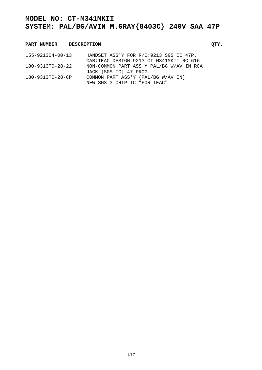| <b>PART NUMBER</b>       | <b>DESCRIPTION</b>                                                 |  |
|--------------------------|--------------------------------------------------------------------|--|
| $155 - 921304 - 00 - 13$ | HANDSET ASS'Y FOR R/C:9213 SGS IC 47P.                             |  |
|                          | CAB: TEAC DESIGN 9213 CT-M341MKII RC-616                           |  |
| $180 - 9313T0 - 28 - 22$ | NON-COMMON PART ASS'Y PAL/BG W/AV IN RCA<br>JACK {SGS IC} 47 PROG. |  |
| 180-9313T0-28-CP         | COMMON PART ASS'Y (PAL/BG W/AV IN)<br>NEW SGS 3 CHIP IC "FOR TEAC" |  |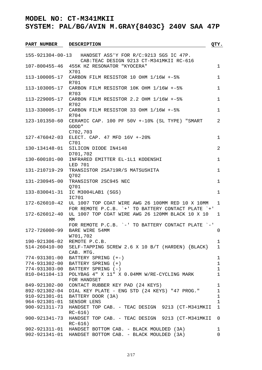| <b>PART NUMBER</b>  | <b>DESCRIPTION</b>                                      | QTY.         |
|---------------------|---------------------------------------------------------|--------------|
|                     | 155-921304-00-13 HANDSET ASS'Y FOR R/C:9213 SGS IC 47P. |              |
|                     | CAB: TEAC DESIGN 9213 CT-M341MKII RC-616                |              |
|                     | 107-800455-46 455K HZ RESONATOR "KYOCERA"               | $\mathbf 1$  |
|                     | X701                                                    |              |
| 113-100005-17       | CARBON FILM RESISTOR 10 OHM 1/16W +-5%                  | 1            |
|                     | R701                                                    |              |
| 113-103005-17       | CARBON FILM RESISTOR 10K OHM 1/16W +-5%                 | $\mathbf 1$  |
|                     | R703                                                    |              |
| 113-229005-17       | CARBON FILM RESISTOR 2.2 OHM 1/16W +-5%                 | $\mathbf 1$  |
|                     | R702                                                    |              |
| 113-330005-17       | CARBON FILM RESISTOR 33 OHM $1/16W + -58$               | $\mathbf 1$  |
|                     | R704                                                    |              |
| 123-101350-60       | CERAMIC CAP. 100 PF 50V +-10% (SL TYPE) "SMART          | 2            |
|                     | GOOD"                                                   |              |
|                     | C702,703                                                |              |
| 127-476042-03       | ELECT. CAP. 47 MFD 16V +-20%                            | 1            |
|                     | C701                                                    |              |
| 130-134148-01       | SILICON DIODE IN4148                                    | 2            |
|                     | D701,702                                                |              |
| 130-600101-00       | INFRARED EMITTER EL-1L1 KODENSHI                        | $\mathbf 1$  |
|                     | LED 701                                                 |              |
| 131-210719-29       | TRANSISTOR 2SA719R/S MATSUSHITA                         | $\mathbf 1$  |
|                     | Q702                                                    |              |
| 131-230945-00       | TRANSISTOR 2SC945 NEC                                   | $\mathbf 1$  |
|                     | <b>0701</b>                                             |              |
| 133-830041-31       | IC M3004LAB1 (SGS)                                      | $\mathbf{1}$ |
|                     | IC701                                                   |              |
| 172-626010-42       | UL 1007 TOP COAT WIRE AWG 26 100MM RED 10 X 10MM        | 1            |
|                     | FOR REMOTE P.C.B. `+' TO BATTERY CONTACT PLATE `+'      |              |
| 172-626012-40       | UL 1007 TOP COAT WIRE AWG 26 120MM BLACK 10 X 10        | 1            |
|                     | МM                                                      |              |
|                     | FOR REMOTE P.C.B. `-' TO BATTERY CONTACT PLATE `-'      |              |
| 172-726000-99       | BARE WIRE 54MM                                          | $\mathbf 0$  |
|                     | W701,702                                                |              |
| 190-921306-02       | REMOTE P.C.B.                                           | 1            |
| $514 - 260410 - 00$ | SELF-TAPPING SCREW 2.6 X 10 B/T (HARDEN) $\{BLACK\}$    | $\mathbf 1$  |
|                     | CAB. MTG.                                               |              |
| 774-931301-00       | BATTERY SPRING (+-)                                     | $\mathbf 1$  |
| 774-931302-00       | BATTERY SPRING (+)                                      | $\mathbf 1$  |
| 774-931303-00       | BATTERY SPRING (-)                                      | $\mathbf{1}$ |
| 810-041104-13       | POLYBAG 4" X 11" X 0.04MM W/RE-CYCLING MARK             | $\mathbf{1}$ |
|                     | FOR HANDSET                                             |              |
| 849-921302-00       | CONTACT RUBBER KEY PAD (24 KEYS)                        | 1            |
| 892-921302-04       | DIAL KEY PLATE - ENG STD (24 KEYS) "47 PROG."           | $\mathbf{1}$ |
| 910-921301-01       | BATTERY DOOR (3A)                                       | $\mathbf 1$  |
| 964-921301-01       | SENSOR LENS                                             | $\mathbf{1}$ |
| 900-921311-73       | HANDSET TOP CAB. - TEAC DESIGN 9213 (CT-M341MKII        | $\mathbf{1}$ |
|                     | $RC-616)$                                               |              |
| 900-921341-73       | HANDSET TOP CAB. - TEAC DESIGN 9213 (CT-M341MKII        | 0            |
|                     | $RC-616)$                                               |              |
| 902-921311-01       | HANDSET BOTTOM CAB. - BLACK MOULDED (3A)                | 1            |
|                     | 902-921341-01 HANDSET BOTTOM CAB. - BLACK MOULDED (3A)  | $\Omega$     |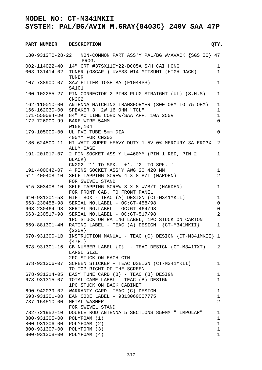**SYSTEM: PAL/BG/AVIN M.GRAY{8403C} 240V SAA 47P**

PART NUMBER DESCRIPTION **QTY.** 180-9313T0-28-22 NON-COMMON PART ASS'Y PAL/BG W/AVACK {SGS IC} 47 PROG. 002-114022-40 14" CRT #37SX110Y22-DC05A S/H CAI HONG 1 003-131414-02 TUNER (OSCAR ) UVE33-W14 MITSUMI (HIGH JACK) 1 TUNER 107-738900-07 SAW FILTER TOSHIBA (F1044PS) 1 SA101 160-102255-27 PIN CONNECTOR 2 PINS PLUG STRAIGHT (UL) (S.H.S) 1 CN202 162-110010-00 ANTENNA MATCHING TRANSFORMER (300 OHM TO 75 OHM) 1 166-162030-00 SPEAKER 3" 2W 16 OHM "TCL" 1 171-550084-D0 84" AC LINE CORD W/SAA APP. 10A 250V 1 172-726000-99 BARE WIRE 54MM 0 W158,104 179-105000-00 UL PVC TUBE 5mm DIA 0 400MM FOR CN202 186-624500-11 HI-WATT SUPER HEAVY DUTY 1.5V 0% MERCURY 3A ER03X 2 ALUM.CASE 191-201017-07 2 PIN SOCKET ASS'Y L=460MM (PIN 1 RED, PIN 2 1 BLACK) CN202 `1' TO SPK. `+', `2' TO SPK. `-' 191-400042-07 4 PINS SOCKET ASS'Y AWG 20 420 MM 1 514-400408-10 SELF-TAPPING SCREW 4 X 8 B/T (HARDEN) 2 FOR SWIVEL STAND 515-303408-10 SELF-TAPPING SCREW 3 X 8 W/B/T (HARDEN) 1 FOR FRONT CAB. TO FRONT PANEL 610-931301-53 GIFT BOX - TEAC (A) DESIGN (CT-M341MKII) 1 663-230458-98 SERIAL NO.LABEL - OC:GT-458/98 0 663-230464-98 SERIAL NO.LABEL - OC:GT-464/98 0 663-230517-98 SERIAL NO.LABEL - OC:GT-517/98 2 1PC STUCK ON RATING LABEL, 1PC STUCK ON CARTON 669-881301-4N RATING LABEL - TEAC (A) DESIGN {CT-M341MKII} 1 {220V} 670-931300-1B INSTRUCTION MANUAL - TEAC (C) DESIGN {CT-M341MKII} 1  ${47P.}$  $678-931301-16$  CB NUMBER LABEL  $\{I\}$  - TEAC DESIGN (CT-M341TXT) 2 LARGE SIZE 2PC STUCK ON EACH CTN 678-931306-07 SCREEN STICKER - TEAC DSEIGN (CT-M341MKII) 1 TO TOP RIGHT OF THE SCREEN 678-931314-05 EASY TUNE CARD (B) - TEAC (B) DESIGN 1 678-931315-07 TOTAL CARE LAEBL - TEAC (B) DESIGN 1 1PC STUCK ON BACK CABINET 690-942039-02 WARRANTY CARD -TEAC (C) DESIGN 1 693-931301-08 EAN CODE LABEL - 9313060007775 1 737-154510-00 METAL WASHER 2 FOR SWIVEL STAND 782-721952-10 DOUBLE ROD ANTENNA 5 SECTIONS 850MM "TIMPOLAR" 1 800-931305-00 POLYFOAM (1) 1 800-931306-00 POLYFOAM (2) 1 800-931307-00 POLYFORM (3) 1 800-931308-00 POLYFOAM (4) 1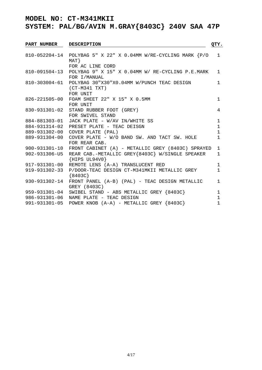| <b>PART NUMBER</b>             | <b>DESCRIPTION</b>                                                                                                                                               | QTY.                                         |
|--------------------------------|------------------------------------------------------------------------------------------------------------------------------------------------------------------|----------------------------------------------|
|                                | 810-052204-14 POLYBAG 5" X 22" X 0.04MM W/RE-CYCLING MARK {P/O<br>$MAT$ }                                                                                        | $\mathbf{1}$                                 |
|                                | FOR AC LINE CORD<br>810-091504-13 POLYBAG 9" X 15" X 0.04MM W/ RE-CYCLING P.E.MARK                                                                               | $\mathbf{1}$                                 |
|                                | FOR I/MANUAL<br>810-303004-61 POLYBAG 30"X30"X0.04MM W/PUNCH TEAC DESIGN<br>$(CT-M341 TXT)$                                                                      | $\mathbf{1}$                                 |
|                                | FOR UNIT<br>826-221505-00 FOAM SHEET 22" X 15" X 0.5MM<br>FOR UNIT                                                                                               | $\mathbf 1$                                  |
|                                | 830-931301-02 STAND RUBBER FOOT (GREY)<br>FOR SWIVEL STAND                                                                                                       | 4                                            |
| 884-931314-02<br>889-931302-00 | 884-881303-01 JACK PLATE - W/AV IN/WHITE SS<br>PRESET PLATE - TEAC DEISGN<br>COVER PLATE (PAL)                                                                   | $\mathbf{1}$<br>$\mathbf{1}$<br>$\mathbf{1}$ |
| 889-931304-00                  | COVER PLATE - W/O BAND SW. AND TACT SW. HOLE<br>FOR REAR CAB.                                                                                                    | $\mathbf{1}$                                 |
| 900-931301-10<br>902-931306-U5 | FRONT CABINET (A) - METALLIC GREY (8403C) SPRAYED<br>REAR CAB.-METALLIC GREY{8403C} W/SINGLE SPEAKER<br>$\{HIPS UL94V0\}$                                        | $\mathbf{1}$<br>$\mathbf{1}$                 |
| 917-931301-00<br>919-931302-33 | REMOTE LENS (A-A) TRANSLUCENT RED<br>P/DOOR-TEAC DESIGN CT-M341MKII METALLIC GREY<br>${8403C}$                                                                   | $\mathbf{1}$<br>$\mathbf{1}$                 |
| 930-931302-14                  | FRONT PANEL (A-B) (PAL) - TEAC DESIGN METALLIC<br>GREY (8403C)                                                                                                   | $\mathbf{1}$                                 |
|                                | 959-931301-04 SWIBEL STAND - ABS METALLIC GREY {8403C}<br>986-931301-06 NAME PLATE - TEAC DESIGN<br>991-931301-05 POWER KNOB $(A-A)$ - METALLIC GREY $\{8403C\}$ | $\mathbf 1$<br>$\mathbf 1$<br>$\mathbf{1}$   |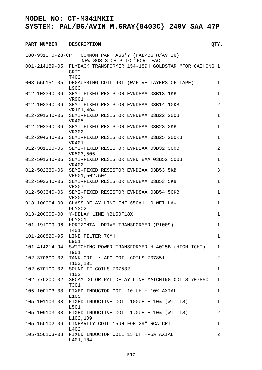| <b>PART NUMBER</b>  | <b>DESCRIPTION</b>                                                         | QTY.           |
|---------------------|----------------------------------------------------------------------------|----------------|
|                     | 180-9313T0-28-CP COMMON PART ASS'Y (PAL/BG W/AV IN)                        |                |
|                     | NEW SGS 3 CHIP IC "FOR TEAC"                                               |                |
|                     | 001-214189-05 FLYBACK TRANSFORMER 154-189H GOLDSTAR "FOR CAIHONG 1<br>CRT" |                |
| $008 - 550151 - 05$ | T402<br>DEGAUSSING COIL 40T (W/FIVE LAYERS OF TAPE)<br>L903                | 1              |
| 012-102340-06       | SEMI-FIXED RESISTOR EVND8AA 03B13 1KB<br><b>VR901</b>                      | $\mathbf 1$    |
| 012-103340-06       | SEMI-FIXED RESISTOR EVND8AA 03B14 10KB<br>VR101,404                        | 2              |
| 012-201340-06       | SEMI-FIXED RESISTOR EVND8AA 03B22 200B<br>VR405                            | $\mathbf 1$    |
| 012-202340-06       | SEMI-FIXED RESISTOR EVND8AA 03B23 2KB<br>VR302                             | $\mathbf 1$    |
| 012-204340-06       | SEMI-FIXED RESISTOR EVND8AA 03B25 200KB<br>VR401                           | $\mathbf 1$    |
| 012-301330-06       | SEMI-FIXED RESISTOR EVND2AA 03B32 300B<br>VR503,505                        | 2              |
| 012-501340-06       | SEMI-FIXED RESISTOR EVND 8AA 03B52 500B<br>VR402                           | $\mathbf 1$    |
| $012 - 502330 - 06$ | SEMI-FIXED RESISTOR EVND2AA 03B53 5KB<br>VR501,502,504                     | $\mathfrak{Z}$ |
| $012 - 502340 - 06$ | SEMI-FIXED RESISTOR EVND8AA 03B53 5KB<br>VR307                             | $\mathbf 1$    |
| 012-503340-06       | SEMI-FIXED RESISTOR EVND8AA 03B54 50KB<br>VR303                            | $\mathbf 1$    |
| $013 - 100004 - 00$ | GLASS DELAY LINE ENF-650A11-0 WEI HAW<br><b>DLY302</b>                     | $\mathbf 1$    |
| $013 - 200005 - 00$ | Y-DELAY LINE YBL50F18X<br><b>DLY301</b>                                    | $\mathbf 1$    |
| 101-191009-96       | HORIZONTAL DRIVE TRANSFORMER (R1009)<br>T401                               | 1              |
|                     | 101-288820-95 LINE FILTER 70MH<br>L901                                     | 1              |
| 101-414214-94       | SWITCHING POWER TRANSFORMER HL4025B (HIGHLIGHT)<br>T901                    | 1              |
| 102-370600-02       | TANK COIL / AFC COIL COILS 707851<br>T103,101                              | $\overline{2}$ |
| 102-670100-02       | SOUND IF COILS 707532<br>T102                                              | $\mathbf 1$    |
| 102-770200-02       | SECAM COLOR PAL DELAY LINE MATCHING COILS 707850<br>T301                   | 1              |
| 105-100103-08       | FIXED INDUCTOR COIL 10 UH +-10% AXIAL<br>L105                              | 1              |
| 105-101103-08       | FIXED INDUCTIVE COIL 100UH +-10% (WITTIS)<br>L501                          | 1              |
| 105-109103-08       | FIXED INDUCTIVE COIL 1.0UH +-10% (WITTIS)<br>L102,109                      | 2              |
| 105-150102-06       | LINEARITY COIL 15UH FOR 29" RCA CRT<br>L402                                | 1              |
| 105-150103-08       | FIXED INDUCTOR COIL 15 UH +-5% AXIAL<br>L401,104                           | 2              |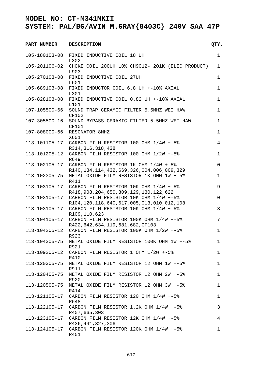| <b>PART NUMBER</b>  | <b>DESCRIPTION</b>                                                                          | QTY.        |
|---------------------|---------------------------------------------------------------------------------------------|-------------|
| 105-180103-08       | FIXED INDUCTIVE COIL 18 UH                                                                  | $\mathbf 1$ |
|                     | L302                                                                                        |             |
| 105-201106-02       | CHOKE COIL 200UH 10% CH9012- 201K (ELEC PRODUCT)<br>L903                                    | 1           |
| 105-270103-08       | FIXED INDUCTIVE COIL 27UH<br>L601                                                           | 1           |
| 105-689103-08       | FIXED INDUCTOR COIL 6.8 UH +-10% AXIAL<br>L301                                              | 1           |
| 105-828103-08       | FIXED INDUCTIVE COIL 0.82 UH +-10% AXIAL<br>L101                                            | 1           |
| 107-105500-66       | SOUND TRAP CERAMIC FILTER 5.5MHZ WEI HAW<br>CF102                                           | 1           |
| $107 - 305500 - 16$ | SOUND BYPASS CERAMIC FILTER 5.5MHZ WEI HAW<br>CF101                                         | 1           |
| 107-808000-66       | RESONATOR 8MHZ<br>X601                                                                      | 1           |
|                     | 113-101105-17 CARBON FILM RESISTOR 100 OHM 1/4W +-5%<br>R314, 316, 318, 438                 | 4           |
| 113-101205-12       | CARBON FILM RESISTOR 100 OHM 1/2W +-5%<br>R649                                              | 1           |
| 113-102105-17       | CARBON FILM RESISTOR 1K OHM 1/4W +-5%<br>R140, 134, 114, 432, 669, 326, 004, 006, 009, 329  | 0           |
| 113-102305-75       | METAL OXIDE FILM RESISTOR 1K OHM 1W +-5%<br>R411                                            | 1           |
| 113-103105-17       | CARBON FILM RESISTOR 10K OHM 1/4W +-5%<br>R418, 908, 204, 650, 309, 129, 130, 122, 622      | 9           |
| 113-103105-17       | CARBON FILM RESISTOR 10K OHM 1/4W +-5%                                                      | 0           |
| 113-103105-17       | R104, 120, 118, 640, 617, 005, 013, 010, 012, 108<br>CARBON FILM RESISTOR 10K OHM 1/4W +-5% | 3           |
| 113-104105-17       | R109, 110, 623<br>CARBON FILM RESISTOR 100K OHM 1/4W +-5%                                   | 7           |
| 113-104205-12       | R422, 642, 634, 119, 681, 682, CF103<br>CARBON FILM RESISTOR 100K OHM 1/2W +-5%             | 1           |
| 113-104305-75       | R923<br>METAL OXIDE FILM RESISTOR 100K OHM 1W +-5%                                          | ı           |
| 113-109205-12       | R921<br>CARBON FILM RESISTOR 1 OHM 1/2W +-5%                                                | 1           |
| 113-120305-75       | R410<br>METAL OXIDE FILM RESISTOR 12 OHM 1W +-5%                                            | 1           |
| 113-120405-75       | R911<br>METAL OXIDE FILM RESISTOR 12 OHM 2W +-5%                                            | 1           |
| 113-120505-75       | R920<br>METAL OXIDE FILM RESISTOR 12 OHM 3W +-5%                                            | 1           |
| 113-121105-17       | R414<br>CARBON FILM RESISTOR 120 OHM $1/4W + -58$                                           | 1           |
| 113-122105-17       | R648<br>CARBON FILM RESISTOR $1.2K$ OHM $1/4W + -58$                                        | 3           |
| 113-123105-17       | R407,665,303<br>CARBON FILM RESISTOR 12K OHM 1/4W +-5%                                      | 4           |
|                     | R436, 441, 327, 306<br>113-124105-17 CARBON FILM RESISTOR 120K OHM 1/4W +-5%<br>R451        | 1           |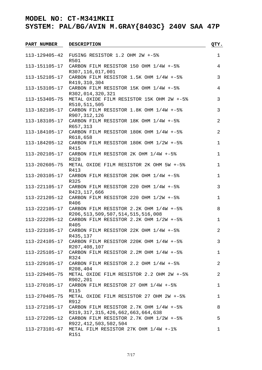| <b>PART NUMBER</b> | <b>DESCRIPTION</b>                                                                 | QTY.           |
|--------------------|------------------------------------------------------------------------------------|----------------|
| 113-129405-42      | FUSING RESISTOR 1.2 OHM 2W +-5%                                                    | $\mathbf 1$    |
|                    | R501                                                                               |                |
| 113-151105-17      | CARBON FILM RESISTOR 150 OHM 1/4W +-5%<br>R307,116,017,001                         | 4              |
| 113-152105-17      | CARBON FILM RESISTOR 1.5K OHM 1/4W +-5%                                            | 3              |
|                    | R419,310,304<br>113-153105-17 CARBON FILM RESISTOR 15K OHM 1/4W +-5%               | 4              |
| 113-153405-75      | R302,014,320,321<br>METAL OXIDE FILM RESISTOR 15K OHM 2W +-5%                      | 3              |
|                    | R510,511,505<br>113-182105-17 CARBON FILM RESISTOR 1.8K OHM 1/4W +-5%              | 3              |
|                    | R907, 312, 126<br>113-183105-17 CARBON FILM RESISTOR 18K OHM 1/4W +-5%             | $\overline{a}$ |
|                    | R657,313                                                                           |                |
|                    | 113-184105-17 CARBON FILM RESISTOR 180K OHM 1/4W +-5%<br>R618,658                  | $\overline{a}$ |
|                    | 113-184205-12 CARBON FILM RESISTOR 180K OHM 1/2W +-5%<br>R415                      | $\mathbf 1$    |
|                    | 113-202105-17 CARBON FILM RESISTOR 2K OHM 1/4W +-5%<br>R328                        | $\mathbf 1$    |
| 113-202605-75      | METAL OXIDE FILM RESISTOR 2K OHM 5W +-5%<br>R413                                   | $\mathbf 1$    |
|                    | 113-203105-17 CARBON FILM RESISTOR 20K OHM 1/4W +-5%                               | $\mathbf 1$    |
|                    | R325<br>113-221105-17 CARBON FILM RESISTOR 220 OHM 1/4W +-5%                       | 3              |
| 113-221205-12      | R423, 117, 666<br>CARBON FILM RESISTOR 220 OHM 1/2W +-5%                           | $\mathbf 1$    |
|                    | R406                                                                               |                |
| 113-222105-17      | CARBON FILM RESISTOR 2.2K OHM 1/4W +-5%                                            | 8              |
| 113-222205-12      | R206, 513, 509, 507, 514, 515, 516, 008<br>CARBON FILM RESISTOR 2.2K OHM 1/2W +-5% | $\mathbf 1$    |
|                    | R405<br>113-223105-17 CARBON FILM RESISTOR 22K OHM 1/4W +-5%                       | $\overline{2}$ |
| 113-224105-17      | R435,137<br>CARBON FILM RESISTOR 220K OHM 1/4W +-5%                                | 3              |
|                    | R207, 408, 107                                                                     |                |
| 113-225105-17      | CARBON FILM RESISTOR 2.2M OHM 1/4W +-5%<br>R324                                    | 1              |
| 113-229105-17      | CARBON FILM RESISTOR 2.2 OHM 1/4W +-5%<br>R208,404                                 | 2              |
| 113-229405-75      | METAL OXIDE FILM RESISTOR 2.2 OHM 2W +-5%<br>R902,201                              | 2              |
| 113-270105-17      | CARBON FILM RESISTOR 27 OHM 1/4W +-5%                                              | 1              |
| 113-270405-75      | R115<br>METAL OXIDE FILM RESISTOR 27 OHM 2W +-5%                                   | 1              |
| 113-272105-17      | R912<br>CARBON FILM RESISTOR 2.7K OHM 1/4W +-5%                                    | 8              |
|                    | R319, 317, 315, 426, 662, 663, 664, 638                                            |                |
| 113-272205-12      | CARBON FILM RESISTOR 2.7K OHM 1/2W +-5%<br>R922, 412, 503, 502, 504                | 5              |
| 113-273101-67      | METAL FILM RESISTOR 27K OHM 1/4W +-1%<br>R151                                      | 1              |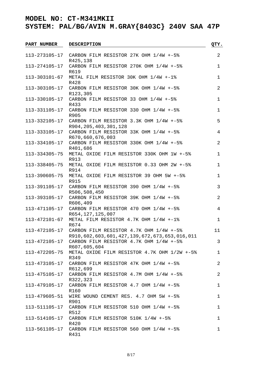| <b>PART NUMBER</b> | <b>DESCRIPTION</b>                                                                      | QTY.           |
|--------------------|-----------------------------------------------------------------------------------------|----------------|
|                    | 113-273105-17 CARBON FILM RESISTOR 27K OHM 1/4W +-5%                                    | $\overline{2}$ |
|                    | R425,138                                                                                |                |
| 113-274105-17      | CARBON FILM RESISTOR 270K OHM 1/4W +-5%<br>R619                                         | $\mathbf 1$    |
| 113-303101-67      | METAL FILM RESISTOR 30K OHM 1/4W +-1%<br>R428                                           | $\mathbf 1$    |
|                    | 113-303105-17 CARBON FILM RESISTOR 30K OHM 1/4W +-5%<br>R123,305                        | 2              |
|                    | 113-330105-17 CARBON FILM RESISTOR 33 OHM 1/4W +-5%<br>R433                             | $\mathbf 1$    |
|                    | 113-331105-17 CARBON FILM RESISTOR 330 OHM 1/4W +-5%<br>R905                            | $\mathbf 1$    |
|                    | 113-332105-17 CARBON FILM RESISTOR 3.3K OHM 1/4W +-5%<br>R904, 205, 403, 301, 128       | 5              |
|                    | 113-333105-17 CARBON FILM RESISTOR 33K OHM 1/4W +-5%<br>R670,660,676,003                | 4              |
|                    | 113-334105-17 CARBON FILM RESISTOR 330K OHM 1/4W +-5%<br>R401,686                       | $\overline{a}$ |
| 113-334305-75      | METAL OXIDE FILM RESISTOR 330K OHM 1W +-5%<br>R913                                      | $\mathbf 1$    |
| 113-338405-75      | METAL OXIDE FILM RESISTOR 0.33 OHM 2W +-5%<br>R914                                      | 1              |
| 113-390605-75      | METAL OXIDE FILM RESISTOR 39 OHM 5W +-5%<br>R915                                        | $\mathbf 1$    |
|                    | 113-391105-17 CARBON FILM RESISTOR 390 OHM 1/4W +-5%                                    | 3              |
| 113-393105-17      | R506,508,450<br>CARBON FILM RESISTOR 39K OHM 1/4W +-5%                                  | $\overline{2}$ |
| 113-471105-17      | R606,409<br>CARBON FILM RESISTOR 470 OHM 1/4W +-5%                                      | 4              |
| 113-472101-67      | R654, 127, 125, 007<br>METAL FILM RESISTOR 4.7K OHM 1/4W +-1%                           | $\mathbf 1$    |
| 113-472105-17      | R674<br>CARBON FILM RESISTOR 4.7K OHM 1/4W +-5%                                         | 11             |
| 113-472105-17      | R910,602,603,601,427,139,672,673,653,016,011<br>CARBON FILM RESISTOR 4.7K OHM 1/4W +-5% | 3              |
| 113-472205-75      | R607,605,604<br>METAL OXIDE FILM RESISTOR 4.7K OHM 1/2W +-5%                            | $\mathbf 1$    |
|                    | R349<br>113-473105-17 CARBON FILM RESISTOR 47K OHM 1/4W +-5%                            | 2              |
|                    | R612,699<br>113-475105-17 CARBON FILM RESISTOR 4.7M OHM 1/4W +-5%                       | $\overline{2}$ |
| 113-479105-17      | R322,323<br>CARBON FILM RESISTOR $4.7$ OHM $1/4W + -5%$                                 | 1              |
| 113-479605-51      | R160<br>WIRE WOUND CEMENT RES. 4.7 OHM 5W +-5%                                          | 1              |
| 113-511105-17      | R901<br>CARBON FILM RESISTOR 510 OHM 1/4W +-5%                                          | 1              |
| 113-514105-17      | R512<br>CARBON FILM RESISTOR 510K 1/4W +-5%                                             | 1              |
|                    | R420                                                                                    |                |
|                    | 113-561105-17 CARBON FILM RESISTOR 560 OHM 1/4W +-5%<br>R431                            | 1              |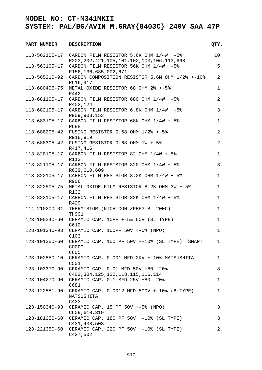| <b>PART NUMBER</b>  | <b>DESCRIPTION</b>                                               | QTY.           |
|---------------------|------------------------------------------------------------------|----------------|
|                     | 113-562105-17 CARBON FILM RESISTOR 5.6K OHM 1/4W +-5%            | 10             |
|                     | R203, 202, 421, 105, 101, 102, 103, 106, 113, 668                |                |
| 113-563105-17       | CARBON FILM RESISTOR 56K OHM 1/4W +-5%                           | 5              |
|                     | R156, 136, 635, 002, 671                                         |                |
| 113-565210-92       | CARBON COMPOSITION RESISTOR 5.6M OHM 1/2W +-10%<br>R916,917      | 2              |
| 113-680405-75       | METAL OXIDE RESISTOR 68 OHM 2W +-5%                              | $\mathbf 1$    |
|                     | R442                                                             |                |
|                     | 113-681105-17 CARBON FILM RESISTOR 680 OHM 1/4W +-5%<br>R402,124 | 2              |
|                     | 113-682105-17 CARBON FILM RESISTOR 6.8K OHM 1/4W +-5%            | $\mathbf{3}$   |
|                     | R909,903,153                                                     |                |
|                     | 113-683105-17 CARBON FILM RESISTOR 68K OHM 1/4W +-5%<br>R698     | $\mathbf{1}$   |
|                     | 113-688205-42 FUSING RESISTOR 0.68 OHM 1/2W +-5%                 | $\overline{a}$ |
|                     | R918,919                                                         |                |
|                     | 113-688305-42 FUSING RESISTOR 0.68 OHM 1W +-5%                   | $\overline{2}$ |
|                     | R417,416<br>113-820105-17 CARBON FILM RESISTOR 82 OHM 1/4W +-5%  | $\mathbf 1$    |
|                     | R112                                                             |                |
|                     | 113-821105-17 CARBON FILM RESISTOR 820 OHM 1/4W +-5%             | 3              |
|                     | R639,610,609                                                     |                |
| 113-822105-17       | CARBON FILM RESISTOR $8.2K$ OHM $1/4W$ +-5%<br>R906              | 1              |
| 113-822505-75       | METAL OXIDE FILM RESISTOR 8.2K OHM 3W +-5%                       | $\mathbf{1}$   |
|                     | R132                                                             |                |
|                     | 113-823105-17 CARBON FILM RESISTOR 82K OHM 1/4W +-5%             | $\mathbf 1$    |
|                     | R429                                                             |                |
| 114-210200-01       | THERMISTOR (NICHICON ZPB53 BL 200C)<br>TH901                     | $\mathbf 1$    |
| 123-100340-60       | CERAMIC CAP. 10PF +-5% 50V (SL TYPE)                             | $\mathbf 1$    |
|                     | C612                                                             |                |
| $123 - 101340 - 93$ | CERAMIC CAP. 100PF 50V +-5% (NPO)<br>C103                        | $\mathbf{1}$   |
| 123-101350-60       | CERAMIC CAP. 100 PF 50V +-10% (SL TYPE) "SMART                   | $\mathbf{1}$   |
|                     | GOOD"                                                            |                |
|                     | C605                                                             |                |
| 123-102850-10       | CERAMIC CAP. 0.001 MFD 2KV +-10% MATSUSHITA                      | $\mathbf{1}$   |
|                     | C501                                                             |                |
| 123-103370-90       | CERAMIC CAP. 0.01 MFD 50V +80 -20%                               | 8              |
|                     | C402, 304, 125, 122, 118, 115, 116, 114                          |                |
| 123-104270-90       | CERAMIC CAP. 0.1 MFD 25V +80 -20%<br>C681                        | $\mathbf 1$    |
| 123-122551-90       | CERAMIC CAP. 0.0012 MFD 500V +-10% (B TYPE)                      | $\mathbf 1$    |
|                     | MATSUSHITA                                                       |                |
|                     | C433                                                             |                |
| 123-150340-93       | CERAMIC CAP. 15 PF 50V +-5% (NPO)<br>C609,610,319                | 3              |
| 123-181350-60       | CERAMIC CAP. 180 PF 50V +-10% (SL TYPE)                          | 3              |
|                     | C431, 438, 503                                                   |                |
| 123-221350-60       | CERAMIC CAP. 220 PF 50V +-10% (SL TYPE)                          | 2              |
|                     | C427,502                                                         |                |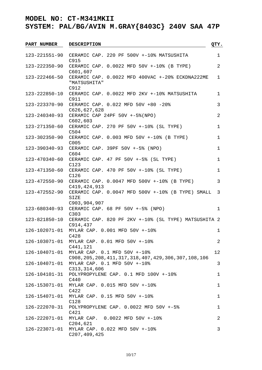| <b>PART NUMBER</b>  | <b>DESCRIPTION</b>                                                | QTY.           |
|---------------------|-------------------------------------------------------------------|----------------|
| 123-221551-90       | CERAMIC CAP. 220 PF 500V +-10% MATSUSHITA                         | $\mathbf 1$    |
|                     | C915                                                              |                |
| 123-222350-90       | CERAMIC CAP. 0.0022 MFD 50V +-10% (B TYPE)<br>C601,607            | 2              |
| 123-222466-50       | CERAMIC CAP. 0.0022 MFD 400VAC +-20% ECKDNA222ME<br>"MATSUSHITA"  | $\mathbf{1}$   |
|                     | C912<br>CERAMIC CAP. 0.0022 MFD 2KV +-10% MATSUSHITA              | $\mathbf{1}$   |
| 123-222850-10       | C911                                                              |                |
| 123-223370-90       | CERAMIC CAP. 0.022 MFD 50V +80 -20%                               | 3              |
|                     | C626, 627, 628                                                    |                |
| $123 - 240340 - 93$ | CERAMIC CAP 24PF 50V +-5% (NPO)                                   | $\overline{a}$ |
| 123-271350-60       | C602, 603<br>CERAMIC CAP. 270 PF 50V +-10% (SL TYPE)              | $\mathbf 1$    |
|                     | C504                                                              |                |
| 123-302350-90       | CERAMIC CAP. 0.003 MFD 50V +-10% (B TYPE)<br>C005                 | $\mathbf{1}$   |
| 123-390340-93       | CERAMIC CAP. 39PF 50V +-5% (NPO)                                  | $\mathbf 1$    |
|                     | C604                                                              |                |
| 123-470340-60       | CERAMIC CAP. 47 PF 50V +-5% (SL TYPE)                             | $\mathbf 1$    |
|                     | C123                                                              |                |
| 123-471350-60       | CERAMIC CAP. $470$ PF $50V$ $+-10$ <sup>2</sup> (SL TYPE)<br>C126 | $\mathbf 1$    |
| 123-472550-90       | CERAMIC CAP. 0.0047 MFD 500V +-10% (B TYPE)                       | 3              |
|                     | C419, 424, 913                                                    |                |
| 123-472552-90       | CERAMIC CAP. 0.0047 MFD 500V +-10% (B TYPE) SMALL<br><b>SIZE</b>  | 3              |
|                     | C903, 904, 907                                                    |                |
| 123-680340-93       | CERAMIC CAP. 68 PF 50V +-5% (NPO)<br>C303                         | $\mathbf 1$    |
| 123-821850-10       | CERAMIC CAP. 820 PF 2KV +-10% (SL TYPE) MATSUSHITA 2              |                |
|                     | C914,437                                                          |                |
| 126-102071-01       | MYLAR CAP. 0.001 MFD 50V +-10%                                    | $\mathbf{1}$   |
| 126-103071-01       | C428<br>MYLAR CAP. 0.01 MFD 50V +-10%                             | 2              |
|                     | C441,121                                                          |                |
| 126-104071-01       | MYLAR CAP. 0.1 MFD 50V +-10%                                      | 12             |
|                     | C908, 205, 208, 411, 317, 318, 407, 429, 306, 307, 108, 106       |                |
| 126-104071-01       | MYLAR CAP. 0.1 MFD 50V +-10%                                      | 3              |
|                     | C313, 314, 606                                                    |                |
| 126-104101-31       | POLYPROPYLENE CAP. 0.1 MFD 100V +-10%                             | 1              |
|                     | C440                                                              |                |
| 126-153071-01       | MYLAR CAP. 0.015 MFD 50V +-10%                                    | 1              |
|                     | C422                                                              |                |
| 126-154071-01       | MYLAR CAP. 0.15 MFD 50V +-10%                                     | 1              |
|                     | C128                                                              |                |
| 126-222070-31       | POLYPROPYLENE CAP. 0.0022 MFD 50V +-5%                            | 1              |
|                     | C421                                                              |                |
| 126-222071-01       | MYLAR CAP. 0.0022 MFD 50V +-10%                                   | $\overline{a}$ |
| 126-223071-01       | C204,621<br>MYLAR CAP. 0.022 MFD 50V +-10%                        | 3              |
|                     | C207, 409, 425                                                    |                |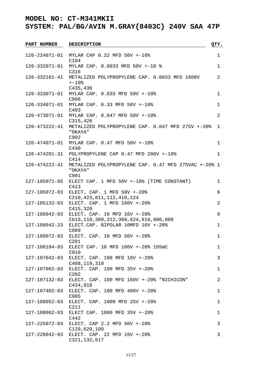| PART NUMBER   | <b>DESCRIPTION</b>                                                                 | QTY.        |
|---------------|------------------------------------------------------------------------------------|-------------|
| 126-224071-01 | MYLAR CAP 0.22 MFD 50V +-10%                                                       | 1           |
| 126-332071-01 | C104<br>MYLAR CAP. 0.0033 MFD 50V +-10 %                                           | $\mathbf 1$ |
| 126-332161-41 | C316<br>METALIZED POLYPROPYLENE CAP. 0.0033 MFD 1600V                              | 2           |
|               | $+ -10$ %<br>C435,436                                                              |             |
| 126-333071-01 | MYLAR CAP. 0.033 MFD 50V +-10%<br>C906                                             | $\mathbf 1$ |
| 126-334071-01 | MYLAR CAP. 0.33 MFD 50V +-10%<br>C403                                              | $\mathbf 1$ |
|               | 126-473071-01 MYLAR CAP. 0.047 MFD 50V +-10%<br>C315, 426                          | 2           |
| 126-473222-41 | METALIZED POLYPROPYLENE CAP. 0.047 MFD 275V +-20%<br>"OKAYA"<br>C902               | 1           |
| 126-474071-01 | MYLAR CAP. 0.47 MFD 50V +-10%<br>C430                                              | 1           |
|               | 126-474201-31 POLYPROPYLENE CAP 0.47 MFD 200V +-10%<br>$C_{414}$                   | $\mathbf 1$ |
| 126-474222-41 | METALIZED POLYPROPYLENE CAP. 0.47 MFD 275VAC +-20% 1<br>"OKAYA"<br>C901            |             |
| 127-105071-05 | ELECT CAP. 1 MFD 50V +-10% (TIME CONSTANT)<br>C413                                 | $\mathbf 1$ |
| 127-105072-03 | ELECT. CAP. $1$ MFD $50V$ $+-20%$<br>C210, 423, 611, 112, 410, 124                 | 6           |
| 127-105132-03 | ELECT. CAP. 1 MFD 160V +-20%<br>C415, 320                                          | 2           |
| 127-106042-03 | ELECT. CAP. 10 MFD 16V +-20%                                                       | 9           |
| 127-106042-23 | C619, 110, 309, 312, 308, 624, 616, 006, 008<br>ELECT.CAP. BIPOLAR 10MFD 16V +-20% | $\mathbf 1$ |
| 127-106072-03 | C009<br>ELECT. CAP. 10 MFD 50V +-20%<br>C201                                       | $\mathbf 1$ |
| 127-106104-03 | ELECT CAP. 10 MFD 100V +-20% 105øC<br>C910                                         | 1           |
| 127-107042-03 | ELECT. CAP. 100 MFD 16V +-20%                                                      | 3           |
| 127-107062-03 | C408, 119, 310<br>ELECT. CAP. 100 MFD 35V +-20%                                    | 1           |
| 127-107132-03 | C202<br>ELECT. CAP. 100 MFD 160V +-20% "NICHICON"                                  | 2           |
| 127-107402-03 | C434,918<br>ELECT. CAP. 100 MFD 400V +-20%                                         | $\mathbf 1$ |
| 127-108052-03 | C905<br>ELECT. CAP. 1000 MFD 25V +-20%                                             | 1           |
| 127-108062-03 | C211<br>ELECT CAP. 1000 MFD 35V +-20%                                              | 1           |
| 127-225072-03 | C442<br>ELECT. CAP 2.2 MFD 50V +-20%                                               | 3           |
| 127-226042-03 | C129,620,109<br>ELECT. CAP. 22 MFD 16V +-20%<br>C321, 132, 617                     | 3           |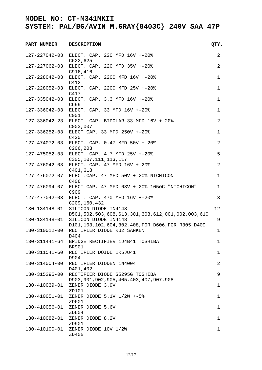| <b>PART NUMBER</b> | <b>DESCRIPTION</b>                                                              | QTY.           |
|--------------------|---------------------------------------------------------------------------------|----------------|
| 127-227042-03      | ELECT. CAP. 220 MFD 16V +-20%<br>C622, 625                                      | 2              |
| 127-227062-03      | ELECT. CAP. 220 MFD 35V +-20%<br>C916, 416                                      | 2              |
| 127-228042-03      | ELECT. CAP. 2200 MFD 16V +-20%<br>C412                                          | $\mathbf 1$    |
| 127-228052-03      | ELECT. CAP. 2200 MFD 25V +-20%<br>C417                                          | $\mathbf 1$    |
| 127-335042-03      | ELECT. CAP. 3.3 MFD 16V +-20%<br>C699                                           | $\mathbf 1$    |
| 127-336042-03      | ELECT. CAP. 33 MFD 16V +-20%<br>C001                                            | $\mathbf 1$    |
| 127-336042-23      | ELECT. CAP. BIPOLAR 33 MFD 16V +-20%<br>C003,007                                | 2              |
| 127-336252-03      | ELECT CAP. 33 MFD 250V +-20%<br>C420                                            | $\mathbf 1$    |
| 127-474072-03      | ELECT. CAP. 0.47 MFD 50V +-20%<br>C206, 203                                     | $\overline{a}$ |
| 127-475052-03      | ELECT. CAP. 4.7 MFD 25V +-20%<br>C305, 107, 111, 113, 117                       | 5              |
| 127-476042-03      | ELECT. CAP. 47 MFD 16V +-20%<br>C401,618                                        | $\overline{a}$ |
| 127-476072-07      | ELECT.CAP. 47 MFD 50V +-20% NICHICON<br>C406                                    | $\mathbf 1$    |
| 127-476094-07      | ELECT CAP. 47 MFD 63V +-20% 1050C "NICHICON"<br>C909                            | $\mathbf 1$    |
| 127-477042-03      | ELECT. CAP. 470 MFD 16V +-20%<br>C209, 160, 432                                 | $\mathfrak{Z}$ |
| 130-134148-01      | SILICON DIODE IN4148<br>D501,502,503,608,613,301,303,612,001,002,003,610        | 12             |
| 130-134148-01      | SILICON DIODE IN4148<br>D101, 103, 102, 604, 302, 408, FOR D606, FOR R305, D409 | 9              |
| 130-310012-00      | RECTIFIER DIODE RU2 SANKEN<br>D404                                              | 1              |
| 130-311441-64      | BRIDGE RECTIFIER 1J4B41 TOSHIBA<br><b>BR901</b>                                 | 1              |
| 130-311541-60      | RECTIFIER DOIDE 1R5JU41<br>D904                                                 | 1              |
| 130-314004-00      | RECTIFIER DIODEN 1N4004<br>D401,402                                             | 2              |
| 130-315295-00      | RECTIFIER DIODE S5295G TOSHIBA<br>D903, 901, 902, 905, 405, 403, 407, 907, 908  | 9              |
| 130-410039-01      | ZENER DIODE 3.9V<br>ZD101                                                       | 1              |
| 130-410051-01      | ZENER DIODE 5.1V 1/2W +-5%<br>ZD601                                             | $\mathbf 1$    |
| 130-410056-01      | ZENER DIODE 5.6V<br>ZD604                                                       | 1              |
| 130-410082-01      | ZENER DIODE 8.2V<br>ZD901                                                       | 1              |
| 130-410100-01      | ZENER DIODE 10V 1/2W<br>ZD405                                                   | 1              |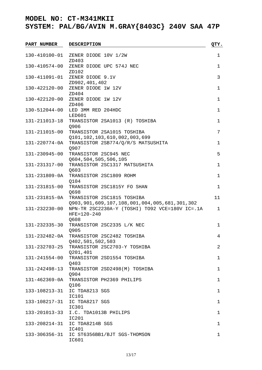| <b>PART NUMBER</b> | <b>DESCRIPTION</b>                                                                                 | QTY.        |
|--------------------|----------------------------------------------------------------------------------------------------|-------------|
| 130-410100-01      | ZENER DIODE 10V 1/2W                                                                               | $\mathbf 1$ |
| 130-410574-00      | ZD403<br>ZENER DIODE UPC 574J NEC<br>ZD102                                                         | $\mathbf 1$ |
|                    | 130-411091-01 ZENER DIODE 9.1V<br>ZD902,401,402                                                    | 3           |
| 130-422120-00      | ZENER DIODE 1W 12V<br>ZD404                                                                        | 1           |
| 130-422120-00      | ZENER DIODE 1W 12V<br>ZD406                                                                        | $\mathbf 1$ |
| 130-512044-00      | LED 3MM RED 204HDC<br>LED601                                                                       | $\mathbf 1$ |
| 131-211013-18      | TRANSISTOR 2SA1013 (R) TOSHIBA<br>Q906                                                             | $\mathbf 1$ |
| 131-211015-00      | TRANSISTOR 2SA1015 TOSHIBA<br>Q101, 102, 103, 610, 002, 003, 699                                   | 7           |
| 131-220774-0A      | TRANSISTOR 2SB774/Q/R/S MATSUSHITA<br>Q907                                                         | $\mathbf 1$ |
| 131-230945-00      | TRANSISTOR 2SC945 NEC<br>Q604, 504, 505, 506, 105                                                  | 5           |
| 131-231317-00      | TRANSISTOR 2SC1317 MATSUSHITA<br>Q603                                                              | $\mathbf 1$ |
| 131-231809-0A      | TRANSISTOR 2SC1809 ROHM<br>Q104                                                                    | $\mathbf 1$ |
| 131-231815-00      | TRANSISTOR 2SC1815Y FO SHAN<br>Q698                                                                | $\mathbf 1$ |
|                    | 131-231815-0A TRANSISTOR 2SC1815 TOSHIBA<br>Q903, 901, 609, 107, 108, 001, 004, 005, 681, 301, 302 | 11          |
| 131-232230-00      | NPN-TR 2SC2230A-Y (TOSHI) TO92 VCE=180V IC=.1A<br>$HFE = 120 - 240$<br>Q608                        | $\mathbf 1$ |
| 131-232335-30      | TRANSISTOR 2SC2335 L/K NEC<br>Q905                                                                 | 1           |
| 131-232482-0A      | TRANSISTOR 2SC2482 TOSHIBA<br>Q402,501,502,503                                                     | 4           |
| 131-232703-25      | TRANSISTOR 2SC2703-Y TOSHIBA<br>Q201,401                                                           | 2           |
| 131-241554-00      | TRANSISTOR 2SD1554 TOSHIBA<br><b>0403</b>                                                          | $\mathbf 1$ |
| 131-242498-13      | TRANSISTOR 2SD2498(M) TOSHIBA<br>Q904                                                              | $\mathbf 1$ |
| 131-462369-0A      | TRANSISTOR PH2369 PHILIPS<br>Q106                                                                  | $\mathbf 1$ |
| 133-108213-31      | IC TDA8213 SGS<br>IC101                                                                            | $\mathbf 1$ |
| 133-108217-31      | IC TDA8217 SGS<br>IC301                                                                            | $\mathbf 1$ |
| 133-201013-33      | I.C. TDA1013B PHILIPS                                                                              | 1           |
| 133-208214-31      | IC201<br>IC TDA8214B SGS<br>IC401                                                                  | $\mathbf 1$ |
| 133-306356-31      | IC ST6356BB1/BJT SGS-THOMSON<br>IC601                                                              | 1           |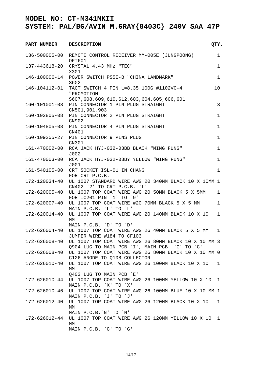| <b>PART NUMBER</b>  | <b>DESCRIPTION</b>                                                                             | QTY.         |
|---------------------|------------------------------------------------------------------------------------------------|--------------|
|                     |                                                                                                |              |
| 136-500005-00       | REMOTE CONTROL RECEIVER MM-005E (JUNGPOONG)                                                    | 1            |
|                     | OPT601                                                                                         |              |
| 137-443618-20       | CRYSTAL 4.43 MHz "TEC"<br>X301                                                                 | $\mathbf 1$  |
| 146-100006-14       | POWER SWITCH PS5E-B "CHINA LANDMARK"                                                           | $\mathbf 1$  |
|                     | S602                                                                                           |              |
| 146-104112-01       | TACT SWITCH 4 PIN L=8.35 100G #1102VC-4                                                        | 10           |
|                     | "PROMOTION"                                                                                    |              |
|                     | \$607,608,609,610,612,603,604,605,606,601                                                      |              |
| $160 - 101001 - 08$ | PIN CONNECTOR 1 PIN PLUG STRAIGHT                                                              | 3            |
|                     | CN501,901,903                                                                                  |              |
| 160-102805-08       | PIN CONNECTOR 2 PIN PLUG STRAIGHT                                                              | $\mathbf 1$  |
|                     | CN902                                                                                          |              |
| 160-104805-08       | PIN CONNECTOR 4 PIN PLUG STRAIGHT                                                              | $\mathbf 1$  |
|                     | CN401<br>160-109255-27 PIN CONNECTOR 9 PINS PLUG                                               |              |
|                     | CN301                                                                                          | $\mathbf 1$  |
| 161-470002-00       | RCA JACK HYJ-032-03BB BLACK "MING FUNG"                                                        | $\mathbf 1$  |
|                     | J002                                                                                           |              |
| 161-470003-00       | RCA JACK HYJ-032-03BY YELLOW "MING FUNG"                                                       | 1            |
|                     | J001                                                                                           |              |
| 161-540105-00       | CRT SOCKET ISL-01 IN CHANG                                                                     | $\mathbf{1}$ |
|                     | FOR CRT P.C.B.                                                                                 |              |
| 172-120034-40       | UL 1007 STANDARD WIRE AWG 20 340MM BLACK 10 X 10MM 1                                           |              |
|                     | CN402 <sup>2</sup> TO CRT P.C.B. L'                                                            |              |
| 172-620005-40       | UL 1007 TOP COAT WIRE AWG 20 50MM BLACK 5 X 5MM                                                | $\mathbf{1}$ |
| 172-620007-40       | FOR IC201 PIN '1' TO '9'<br>UL 1007 TOP COAT WIRE #20 70MM BLACK 5 X 5 MM                      | 1            |
|                     | MAIN P.C.B. 'L' TO 'L'                                                                         |              |
| 172-620014-40       | UL 1007 TOP COAT WIRE AWG 20 140MM BLACK 10 X 10                                               | 1            |
|                     | MM                                                                                             |              |
|                     | MAIN P.C.B. `D' TO `D'                                                                         |              |
| 172-626004-40       | UL 1007 TOP COAT WIRE AWG 26 40MM BLACK 5 X 5 MM                                               | 1            |
|                     | JUMPER WIRE W184 TO CF103                                                                      |              |
| 172-626008-40       | UL 1007 TOP COAT WIRE AWG 26 80MM BLACK 10 X 10 MM 3                                           |              |
|                     | 0904 LUG TO MAIN PCB 'I', MAIN PCB 'C' TO 'C'                                                  |              |
|                     | 172-626008-40 UL 1007 TOP COAT WIRE AWG 26 80MM BLACK 10 X 10 MM 0                             |              |
|                     | C126 ANODE TO Q108 COLLECTOR<br>172-626010-40 UL 1007 TOP COAT WIRE AWG 26 100MM BLACK 10 X 10 | $\mathbf{1}$ |
|                     | МM                                                                                             |              |
|                     | Q403 LUG TO MAIN PCB `E'                                                                       |              |
|                     | 172-626010-44 UL 1007 TOP COAT WIRE AWG 26 100MM YELLOW 10 X 10 1                              |              |
|                     | MAIN P.C.B. `X' TO `X'                                                                         |              |
| 172-626010-46       | UL 1007 TOP COAT WIRE AWG 26 100MM BLUE 10 X 10 MM 1                                           |              |
|                     | MAIN P.C.B. 'J' TO 'J'                                                                         |              |
| 172-626012-40       | UL 1007 TOP COAT WIRE AWG 26 120MM BLACK 10 X 10                                               | 1            |
|                     | MM                                                                                             |              |
|                     | MAIN P.C.B. N' TO `N'                                                                          |              |
| 172-626012-44       | UL 1007 TOP COAT WIRE AWG 26 120MM YELLOW 10 X 10 1<br>МM                                      |              |
|                     | MAIN P.C.B. `G' TO `G'                                                                         |              |
|                     |                                                                                                |              |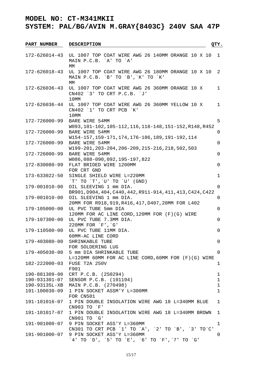| <b>PART NUMBER</b> | <b>DESCRIPTION</b>                                                                             | QTY.         |
|--------------------|------------------------------------------------------------------------------------------------|--------------|
| 172-626014-43      | UL 1007 TOP COAT WIRE AWG 26 140MM ORANGE 10 X 10<br>MAIN P.C.B. `A' TO `A'<br>МM              | 1            |
| 172-626018-43      | UL 1007 TOP COAT WIRE AWG 26 180MM ORANGE 10 X 10<br>MAIN P.C.B. `B' TO `B', `K' TO `K'<br>МM  | 2            |
| 172-626036-43      | UL 1007 TOP COAT WIRE AWG 26 360MM ORANGE 10 X<br>CN402 '3' TO CRT P.C.B. 'J'<br>10MM          | 1            |
| 172-626036-44      | UL 1007 TOP COAT WIRE AWG 26 360MM YELLOW 10 X<br>CN402 '1' TO CRT PCB `K'<br>10MM             | 1            |
| 172-726000-99      | BARE WIRE 54MM<br>W093, 101-102, 105-112, 116, 118-148, 151-152, R148, R452                    | 5            |
| 172-726000-99      | BARE WIRE 54MM<br>W154-157,159-171,174,176-186,189,191-192,114                                 | 0            |
| 172-726000-99      | BARE WIRE 54MM<br>W199-201, 203-204, 206-209, 215-216, 218, 502, 503                           | 0            |
| 172-726000-99      | BARE WIRE 54MM<br>W086,088-090,092,195-197,822                                                 | 0            |
| 172-830080-99      | FLAT BRIDED WIRE 1200MM<br>FOR CRT GND                                                         | 0            |
| 173-633022-50      | SINGLE SHIELD WIRE L=220MM<br>$\tilde{T}$ TO $\tilde{T}'$ , $\tilde{U}'$ TO $\tilde{U}'$ (GND) | 1            |
| 179-001010-00      | OIL SLEEVING 1 mm DIA.<br>BR901, D904, 404, C440, 442, R911-914, 411, 413, C424, C422          | 0            |
| 179-001010-00      | OIL SLEEVING 1 mm DIA.<br>20MM FOR R918, 919, R416, 417, D407, 20MM FOR L402                   | 0            |
| 179-105000-00      | UL PVC TUBE 5mm DIA<br>120MM FOR AC LINE CORD, 120MM FOR (F) (G) WIRE                          | 0            |
| 179-107300-00      | UL PVC TUBE 7.3MM DIA.<br>220MM FOR `F', `G'                                                   | 0            |
| 179-110500-00      | UL PVC TUBE 11MM DIA.<br>60MM-AC LINE CORD                                                     | $\mathbf 0$  |
| 179-403080-00      | SHRINKABLE TUBE<br>FOR SOLDERING LUG                                                           | 0            |
| 179-405030-00      | 5 mm DIA SHRINKABLE TUBE<br>L=120MM 60MM FOR AC LINE CORD, 60MM FOR (F)(G) WIRE                | $\mathbf 0$  |
| 182-222000-03      | FUSE T2A 250V<br>F901                                                                          | $\mathbf 1$  |
| 190-881309-00      | CRT P.C.B. (250294)                                                                            | 1            |
|                    | 190-931301-07 SENSOR P.C.B. (191194)                                                           | $\mathbf 1$  |
| 190-93135L-XB      | MAIN P.C.B. (270498)                                                                           | $\mathbf 1$  |
| 191-100030-09      | 1 PIN SOCKET ASSM'Y L=300MM<br>FOR CN501                                                       | $\mathbf{1}$ |
| 191-101016-07      | 1 PIN DOUBLE INSOLATION WIRE AWG 18 L=340MM BLUE<br>CN903 TO `F'                               | 1            |
| 191-101017-07      | 1 PIN DOUBLE INSOLATION WIRE AWG 18 L=340MM BROWN<br>CN901 TO `G'                              | 1            |
| 191-901000-07      | 9 PIN SOCKET ASS'Y L=360MM<br>CN301 TO CRT PCB '1' TO 'A', '2' TO 'B', '3' TO'C'               | 1            |
| 191-901000-07      | 9 PIN SOCKET ASS'Y L=360MM<br>`4' TO `D', `5' TO `E', `6' TO `F',`7' TO `G'                    | 0            |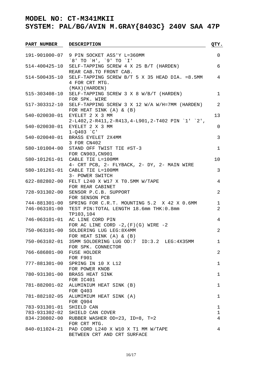| <b>PART NUMBER</b>       | <b>DESCRIPTION</b>                                               | QTY.           |
|--------------------------|------------------------------------------------------------------|----------------|
|                          | 191-901000-07 9 PIN SOCKET ASS'Y L=360MM                         | $\mathbf 0$    |
|                          | `8' TO `H', `9' TO `I'                                           |                |
|                          | 514-400425-10 SELF-TAPPING SCREW 4 X 25 B/T (HARDEN)             | 6              |
|                          | REAR CAB. TO FRONT CAB.                                          |                |
|                          | 514-500435-10 SELF-TAPPING SCREW B/T 5 X 35 HEAD DIA. = 8.5MM    | 4              |
|                          | 4 FOR CRT MTG.                                                   |                |
|                          | (MAX) (HARDEN)                                                   |                |
| 515-303408-10            | SELF-TAPPING SCREW 3 X 8 W/B/T (HARDEN)                          | 1              |
|                          | FOR SPK. WIRE                                                    |                |
|                          | 517-303312-10 SELF-TAPPING SCREW 3 X 12 W/A W/H=7MM (HARDEN)     | 2              |
|                          | FOR HEAT SINK $(A)$ & $(B)$<br>540-020030-01 EYELET 2 X 3 MM     | 13             |
|                          | $2-L402, 2-R411, 2-R413, 4-L901, 2-T402 PIN '1' '2',$            |                |
|                          | 540-020030-01 EYELET 2 X 3 MM                                    | $\mathbf 0$    |
|                          | $1 - 0403$ $^{\circ}$ C'                                         |                |
|                          | 540-020040-01 BRASS EYELET 2X4MM                                 | 3              |
|                          | 3 FOR CN402                                                      |                |
|                          | 580-101004-00 STAND OFF TWIST TIE #ST-3                          | 1              |
|                          | FOR CN903, CN901                                                 |                |
|                          | 580-101261-01 CABLE TIE L=100MM                                  | 10             |
|                          | 4- CRT PCB, 2- FLYBACK, 2- DY, 2- MAIN WIRE                      |                |
|                          | 580-101261-01 CABLE TIE L=100MM                                  | 3              |
|                          | 3- POWER SWITCH                                                  |                |
| 622-882802-00            | FELT L240 X W17 X TO.5MM W/TAPE                                  | 4              |
| 728-931302-00            | FOR REAR CABINET<br>SENSOR P.C.B. SUPPORT                        | 2              |
|                          | FOR SENSON PCB                                                   |                |
| 744-881301-00            | SPRING FOR C.R.T. MOUNTING 5.2 X 42 X 0.6MM                      | $\mathbf 1$    |
|                          | 746-063101-00 TEST PIN: TOTAL LENGTH 18.6mm THK: 0.8mm           | $\overline{2}$ |
|                          | TP103,104                                                        |                |
| 746-063101-01            | AC LINE CORD PIN                                                 | 4              |
|                          | FOR AC LINE CORD $-2$ , $(F)(G)$ WIRE $-2$                       |                |
| 750-063101-00            | SOLDERING LUG LEG: 8X4MM                                         | $\overline{2}$ |
|                          | FOR HEAT SINK $(A)$ & $(B)$                                      |                |
|                          | 750-063102-01 35MM SOLDERING LUG OD:7 ID:3.2 LEG:4X35MM          | 1              |
|                          | FOR SPK. CONNECTOR                                               |                |
| 766-686801-00            | FUSE HOLDER<br><b>FOR F901</b>                                   | 2              |
| 777-881301-00            | SPRING IN 10 X L12                                               | $\mathbf 1$    |
|                          | FOR POWER KNOB                                                   |                |
| 780-931301-00            | BRASS HEAT SINK                                                  | $\mathbf{1}$   |
|                          | FOR IC401                                                        |                |
|                          | 781-882001-02 ALUMINIUM HEAT SINK (B)                            | $\mathbf{1}$   |
|                          | FOR Q403                                                         |                |
| 781-882102-05            | ALUMIMIUM HEAT SINK (A)                                          | 1              |
|                          | FOR Q904                                                         |                |
| 783-931301-01 SHIELD CAN |                                                                  | 1              |
|                          | 783-931302-02 SHIELD CAN COVER                                   | 1              |
|                          | 834-230802-00 RUBBER WASHER OD=23, ID=8, T=2                     | 4              |
|                          | FOR CRT MTG.<br>840-011024-21 PAD CORD L240 X W10 X T1 MM W/TAPE | 4              |
|                          | BETWEEN CRT AND CRT SURFACE                                      |                |
|                          |                                                                  |                |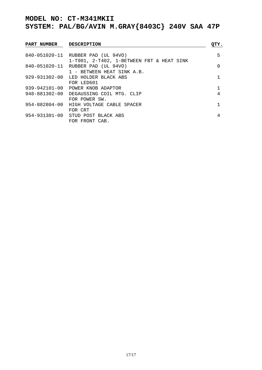| PART NUMBER | <b>DESCRIPTION</b>                        | QTY.     |
|-------------|-------------------------------------------|----------|
|             | 840-051020-11 RUBBER PAD (UL 94VO)        | 5        |
|             | 1-T901, 2-T402, 1-BETWEEN FBT & HEAT SINK |          |
|             | 840-051020-11 RUBBER PAD (UL 94VO)        | $\Omega$ |
|             | 1 - BETWEEN HEAT SINK A.B.                |          |
|             | 929-931302-00 LED HOLDER BLACK ABS        |          |
|             | FOR LED601                                |          |
|             | 939-942101-00 POWER KNOB ADAPTOR          |          |
|             | 948-881302-00 DEGAUSSING COIL MTG. CLIP   | 4        |
|             | FOR POWER SW.                             |          |
|             | 954-882804-00 HIGH VOLTAGE CABLE SPACER   |          |
|             | FOR CRT                                   |          |
|             | 954-931301-00 STUD POST BLACK ABS         | 4        |
|             | FOR FRONT CAB.                            |          |